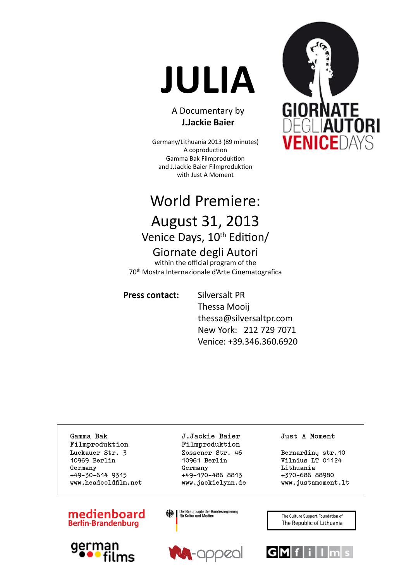# **JULIA**

#### A Documentary by **J.Jackie Baier**

Germany/Lithuania 2013 (89 minutes) A coproduction Gamma Bak Filmproduktion and J.Jackie Baier Filmproduktion with Just A Moment

## World Premiere: August 31, 2013

## Venice Days, 10<sup>th</sup> Edition/

## Giornate degli Autori

within the official program of the 70th Mostra Internazionale d'Arte Cinematografica

#### **Press contact:** Silversalt PR

 Thessa Mooij thessa@silversaltpr.com New York: 212 729 7071 Venice: +39.346.360.6920

**Gamma Bak J.Jackie Baier Just A Moment Filmproduktion Filmproduktion** Luckauer Str. 3 **Zossener Str. 46** Bernardinų str. 10 **10969 Berlin 10961 Berlin Vilnius LT 01124 Germany Germany Lithuania +49-30-614 9315 +49-170-486 8813 +370-686 88980** www.headcoldfilm.net **www.jackielynn.de www.justamoment.lt** 

#### medienboard **Berlin-Brandenburg**









The Culture Support Foundation of The Republic of Lithuania



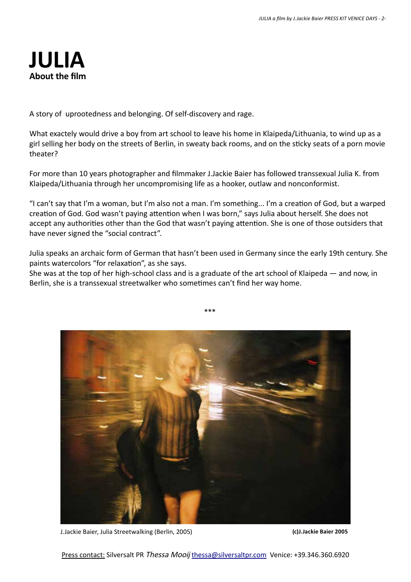## **JULIA About the film**

A story of uprootedness and belonging. Of self-discovery and rage.

What exactely would drive a boy from art school to leave his home in Klaipeda/Lithuania, to wind up as a girl selling her body on the streets of Berlin, in sweaty back rooms, and on the sticky seats of a porn movie theater?

For more than 10 years photographer and filmmaker J.Jackie Baier has followed transsexual Julia K. from Klaipeda/Lithuania through her uncompromising life as a hooker, outlaw and nonconformist.

"I can't say that I'm a woman, but I'm also not a man. I'm something... I'm a creation of God, but a warped creation of God. God wasn't paying attention when I was born," says Julia about herself. She does not accept any authorities other than the God that wasn't paying attention. She is one of those outsiders that have never signed the "social contract".

Julia speaks an archaic form of German that hasn't been used in Germany since the early 19th century. She paints watercolors "for relaxation", as she says.

\*\*\*

She was at the top of her high-school class and is a graduate of the art school of Klaipeda — and now, in Berlin, she is a transsexual streetwalker who sometimes can't find her way home.



J.Jackie Baier, Julia Streetwalking (Berlin, 2005) **(c)J.Jackie Baier 2005**

Press contact: Silversalt PR Thessa Mooij thessa@silversaltpr.com Venice: +39.346.360.6920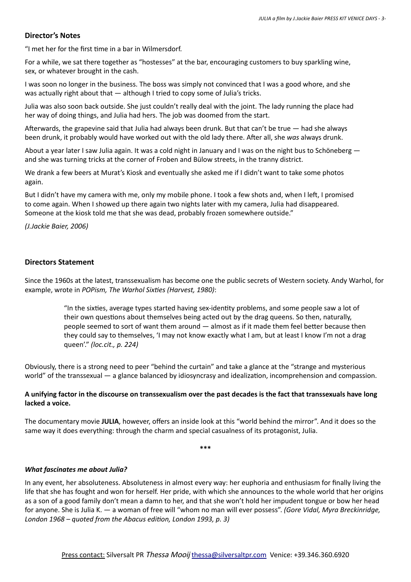#### **Director's Notes**

"I met her for the first time in a bar in Wilmersdorf.

For a while, we sat there together as "hostesses" at the bar, encouraging customers to buy sparkling wine, sex, or whatever brought in the cash.

I was soon no longer in the business. The boss was simply not convinced that I was a good whore, and she was actually right about that — although I tried to copy some of Julia's tricks.

Julia was also soon back outside. She just couldn't really deal with the joint. The lady running the place had her way of doing things, and Julia had hers. The job was doomed from the start.

Afterwards, the grapevine said that Julia had always been drunk. But that can't be true — had she always been drunk, it probably would have worked out with the old lady there. After all, she *was* always drunk.

About a year later I saw Julia again. It was a cold night in January and I was on the night bus to Schöneberg and she was turning tricks at the corner of Froben and Bülow streets, in the tranny district.

We drank a few beers at Murat's Kiosk and eventually she asked me if I didn't want to take some photos again.

But I didn't have my camera with me, only my mobile phone. I took a few shots and, when I left, I promised to come again. When I showed up there again two nights later with my camera, Julia had disappeared. Someone at the kiosk told me that she was dead, probably frozen somewhere outside."

*(J.Jackie Baier, 2006)*

#### **Directors Statement**

Since the 1960s at the latest, transsexualism has become one the public secrets of Western society. Andy Warhol, for example, wrote in *POPism, The Warhol Sixties (Harvest, 1980)*:

> "In the sixties, average types started having sex-identity problems, and some people saw a lot of their own questions about themselves being acted out by the drag queens. So then, naturally, people seemed to sort of want them around — almost as if it made them feel better because then they could say to themselves, 'I may not know exactly what I am, but at least I know I'm not a drag queen'." *(loc.cit., p. 224)*

Obviously, there is a strong need to peer "behind the curtain" and take a glance at the "strange and mysterious world" of the transsexual — a glance balanced by idiosyncrasy and idealization, incomprehension and compassion.

#### **A unifying factor in the discourse on transsexualism over the past decades is the fact that transsexuals have long lacked a voice.**

The documentary movie **JULIA**, however, offers an inside look at this "world behind the mirror". And it does so the same way it does everything: through the charm and special casualness of its protagonist, Julia.

**\*\*\***

#### *What fascinates me about Julia?*

In any event, her absoluteness. Absoluteness in almost every way: her euphoria and enthusiasm for finally living the life that she has fought and won for herself. Her pride, with which she announces to the whole world that her origins as a son of a good family don't mean a damn to her, and that she won't hold her impudent tongue or bow her head for anyone. She is Julia K. — a woman of free will "whom no man will ever possess". *(Gore Vidal, Myra Breckinridge, London 1968 – quoted from the Abacus edition, London 1993, p. 3)*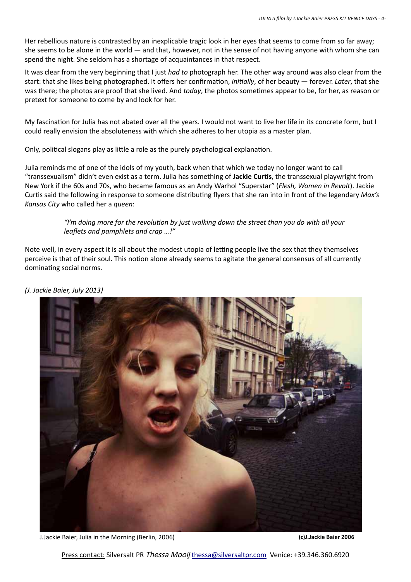Her rebellious nature is contrasted by an inexplicable tragic look in her eyes that seems to come from so far away; she seems to be alone in the world — and that, however, not in the sense of not having anyone with whom she can spend the night. She seldom has a shortage of acquaintances in that respect.

It was clear from the very beginning that I just *had to* photograph her. The other way around was also clear from the start: that she likes being photographed. It offers her confirmation, *initially*, of her beauty — forever. *Later*, that she was there; the photos are proof that she lived. And *today*, the photos sometimes appear to be, for her, as reason or pretext for someone to come by and look for her.

My fascination for Julia has not abated over all the years. I would not want to live her life in its concrete form, but I could really envision the absoluteness with which she adheres to her utopia as a master plan.

Only, political slogans play as little a role as the purely psychological explanation.

Julia reminds me of one of the idols of my youth, back when that which we today no longer want to call "transsexualism" didn't even exist as a term. Julia has something of **Jackie Curtis**, the transsexual playwright from New York if the 60s and 70s, who became famous as an Andy Warhol "Superstar" (*Flesh, Women in Revolt*). Jackie Curtis said the following in response to someone distributing flyers that she ran into in front of the legendary *Max's Kansas City* who called her a *queen*:

> *"I'm doing more for the revolution by just walking down the street than you do with all your leaflets and pamphlets and crap …!"*

Note well, in every aspect it is all about the modest utopia of letting people live the sex that they themselves perceive is that of their soul. This notion alone already seems to agitate the general consensus of all currently dominating social norms.





J.Jackie Baier, Julia in the Morning (Berlin, 2006) **(c)J.Jackie Baier 2006**

Press contact: Silversalt PR Thessa Mooij thessa@silversaltpr.com Venice: +39.346.360.6920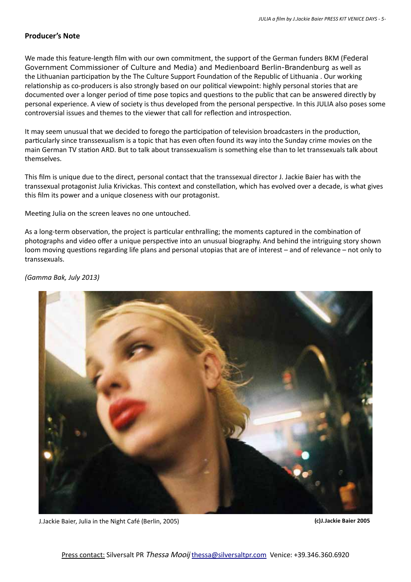#### **Producer's Note**

We made this feature-length film with our own commitment, the support of the German funders BKM (Federal Government Commissioner of Culture and Media) and Medienboard Berlin-Brandenburg as well as the Lithuanian participation by the The Culture Support Foundation of the Republic of Lithuania . Our working relationship as co-producers is also strongly based on our political viewpoint: highly personal stories that are documented over a longer period of time pose topics and questions to the public that can be answered directly by personal experience. A view of society is thus developed from the personal perspective. In this JULIA also poses some controversial issues and themes to the viewer that call for reflection and introspection.

It may seem unusual that we decided to forego the participation of television broadcasters in the production, particularly since transsexualism is a topic that has even often found its way into the Sunday crime movies on the main German TV station ARD. But to talk about transsexualism is something else than to let transsexuals talk about themselves.

This film is unique due to the direct, personal contact that the transsexual director J. Jackie Baier has with the transsexual protagonist Julia Krivickas. This context and constellation, which has evolved over a decade, is what gives this film its power and a unique closeness with our protagonist.

Meeting Julia on the screen leaves no one untouched.

As a long-term observation, the project is particular enthralling; the moments captured in the combination of photographs and video offer a unique perspective into an unusual biography. And behind the intriguing story shown loom moving questions regarding life plans and personal utopias that are of interest – and of relevance – not only to transsexuals.

*(Gamma Bak, July 2013)*



J.Jackie Baier, Julia in the Night Café (Berlin, 2005) **(c)J.Jackie Baier 2005**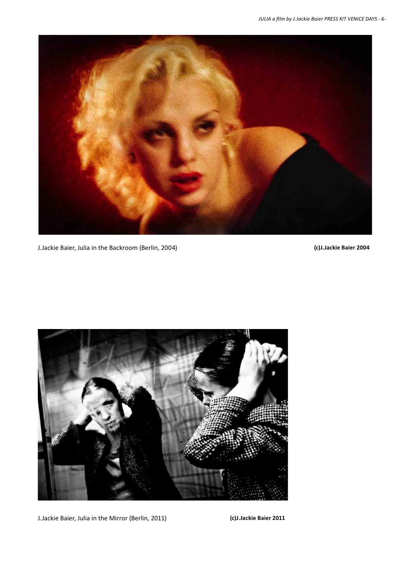

J.Jackie Baier, Julia in the Backroom (Berlin, 2004) **(c)J.Jackie Baier 2004**



J.Jackie Baier, Julia in the Mirror (Berlin, 2011) **(c)J.Jackie Baier 2011**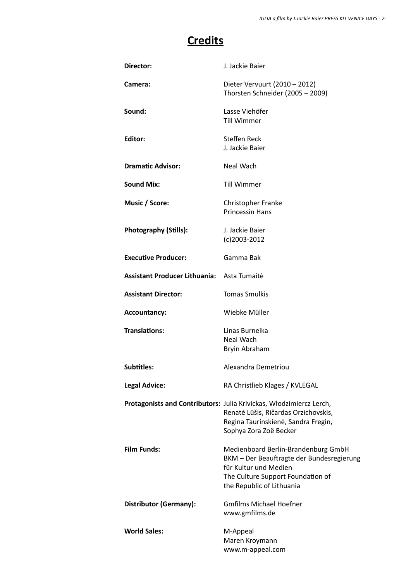### **Credits**

| Director:                                  | J. Jackie Baier                                                                                                                                                              |
|--------------------------------------------|------------------------------------------------------------------------------------------------------------------------------------------------------------------------------|
| Camera:                                    | Dieter Vervuurt (2010 – 2012)<br>Thorsten Schneider (2005 - 2009)                                                                                                            |
| Sound:                                     | Lasse Viehöfer<br><b>Till Wimmer</b>                                                                                                                                         |
| Editor:                                    | <b>Steffen Reck</b><br>J. Jackie Baier                                                                                                                                       |
| <b>Dramatic Advisor:</b>                   | Neal Wach                                                                                                                                                                    |
| <b>Sound Mix:</b>                          | <b>Till Wimmer</b>                                                                                                                                                           |
| Music / Score:                             | Christopher Franke<br><b>Princessin Hans</b>                                                                                                                                 |
| <b>Photography (Stills):</b>               | J. Jackie Baier<br>$(c)$ 2003-2012                                                                                                                                           |
| <b>Executive Producer:</b>                 | Gamma Bak                                                                                                                                                                    |
| Assistant Producer Lithuania: Asta Tumaite |                                                                                                                                                                              |
| <b>Assistant Director:</b>                 | <b>Tomas Smulkis</b>                                                                                                                                                         |
| <b>Accountancy:</b>                        | Wiebke Müller                                                                                                                                                                |
| <b>Translations:</b>                       | Linas Burneika<br>Neal Wach<br>Bryin Abraham                                                                                                                                 |
| <b>Subtitles:</b>                          | Alexandra Demetriou                                                                                                                                                          |
| <b>Legal Advice:</b>                       | RA Christlieb Klages / KVLEGAL                                                                                                                                               |
|                                            | Protagonists and Contributors: Julia Krivickas, Włodzimiercz Lerch,<br>Renatė Lūšis, Ričardas Orzichovskis,<br>Regina Taurinskienė, Sandra Fregin,<br>Sophya Zora Zoë Becker |
| <b>Film Funds:</b>                         | Medienboard Berlin-Brandenburg GmbH<br>BKM - Der Beauftragte der Bundesregierung<br>für Kultur und Medien<br>The Culture Support Foundation of<br>the Republic of Lithuania  |
| <b>Distributor (Germany):</b>              | <b>Gmfilms Michael Hoefner</b><br>www.gmfilms.de                                                                                                                             |
| <b>World Sales:</b>                        | M-Appeal<br>Maren Kroymann<br>www.m-appeal.com                                                                                                                               |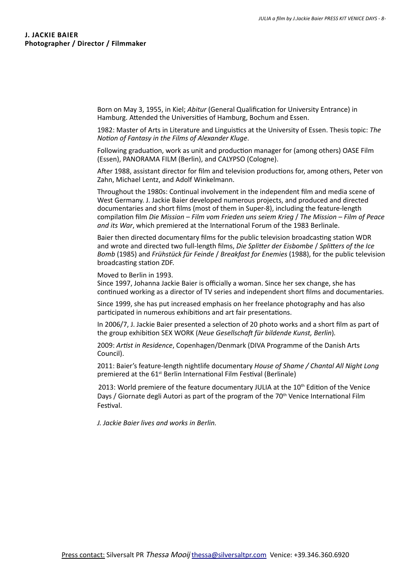Born on May 3, 1955, in Kiel; *Abitur* (General Qualification for University Entrance) in Hamburg. Attended the Universities of Hamburg, Bochum and Essen.

1982: Master of Arts in Literature and Linguistics at the University of Essen. Thesis topic: *The Notion of Fantasy in the Films of Alexander Kluge*.

Following graduation, work as unit and production manager for (among others) OASE Film (Essen), PANORAMA FILM (Berlin), and CALYPSO (Cologne).

After 1988, assistant director for film and television productions for, among others, Peter von Zahn, Michael Lentz, and Adolf Winkelmann.

Throughout the 1980s: Continual involvement in the independent film and media scene of West Germany. J. Jackie Baier developed numerous projects, and produced and directed documentaries and short films (most of them in Super‑8), including the feature-length compilation film *Die Mission – Film vom Frieden uns seiem Krieg* / *The Mission – Film of Peace and its War*, which premiered at the International Forum of the 1983 Berlinale.

Baier then directed documentary films for the public television broadcasting station WDR and wrote and directed two full-length films, *Die Splitter der Eisbombe* / *Splitters of the Ice Bomb* (1985) and *Frühstück für Feinde* / *Breakfast for Enemies* (1988), for the public television broadcasting station ZDF.

Moved to Berlin in 1993.

Since 1997, Johanna Jackie Baier is officially a woman. Since her sex change, she has continued working as a director of TV series and independent short films and documentaries.

Since 1999, she has put increased emphasis on her freelance photography and has also participated in numerous exhibitions and art fair presentations.

In 2006/7, J. Jackie Baier presented a selection of 20 photo works and a short film as part of the group exhibition SEX WORK (*Neue Gesellschaft für bildende Kunst, Berlin*)*.*

2009: *Artist in Residence*, Copenhagen/Denmark (DIVA Programme of the Danish Arts Council).

2011: Baier's feature-length nightlife documentary *House of Shame / Chantal All Night Long* premiered at the 61<sup>st</sup> Berlin International Film Festival (Berlinale)

2013: World premiere of the feature documentary JULIA at the  $10<sup>th</sup>$  Edition of the Venice Days / Giornate degli Autori as part of the program of the 70<sup>th</sup> Venice International Film Festival.

*J. Jackie Baier lives and works in Berlin.*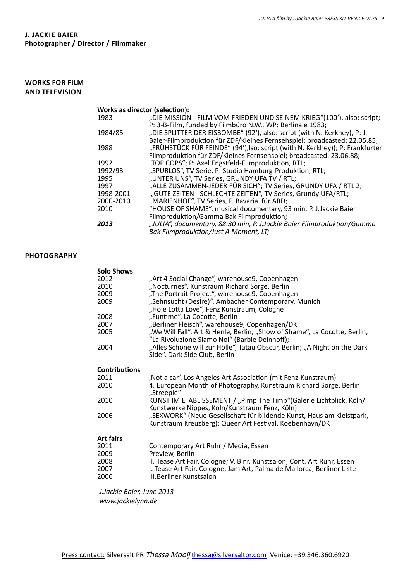#### **WORKS FOR FILM AND TELEVISION**

| Works as director (selection): |                                                                              |
|--------------------------------|------------------------------------------------------------------------------|
| 1983                           | "DIE MISSION - FILM VOM FRIEDEN UND SEINEM KRIEG"(100'), also: script;       |
|                                | P: 3-B-Film, funded by Filmbüro N.W., WP: Berlinale 1983;                    |
| 1984/85                        | "DIE SPLITTER DER EISBOMBE" (92'), also: script (with N. Kerkhey), P: J.     |
|                                | Baier-Filmproduktion für ZDF/Kleines Fernsehspiel; broadcasted: 22.05.85;    |
| 1988                           | "FRÜHSTÜCK FÜR FEINDE" (94'), Iso: script (with N. Kerkhey)); P: Frankfurter |
|                                | Filmproduktion für ZDF/Kleines Fernsehspiel; broadcasted: 23.06.88;          |
| 1992                           | "TOP COPS"; P: Axel Engstfeld-Filmproduktion, RTL;                           |
| 1992/93                        | "SPURLOS", TV Serie, P: Studio Hamburg-Produktion, RTL;                      |
| 1995                           | "UNTER UNS", TV Series, GRUNDY UFA TV / RTL;                                 |
| 1997                           | "ALLE ZUSAMMEN-JEDER FÜR SICH"; TV Series, GRUNDY UFA / RTL 2;               |
| 1998-2001                      | "GUTE ZEITEN - SCHLECHTE ZEITEN", TV Series, Grundy UFA/RTL;                 |
| 2000-2010                      | "MARIENHOF", TV Series, P. Bavaria für ARD;                                  |
| 2010                           | "HOUSE OF SHAME", musical documentary, 93 min, P. J.Jackie Baier             |
|                                | Filmproduktion/Gamma Bak Filmproduktion;                                     |
| 2013                           | "JULIA", documentary, 88:30 min, P. J.Jackie Baier Filmproduktion/Gamma      |
|                                | Bak Filmproduktion/Just A Moment, LT;                                        |

#### **Photography**

| <b>Solo Shows</b><br>2012<br>2010<br>2009<br>2009<br>2008 | "Art 4 Social Change", warehouse9, Copenhagen<br>"Nocturnes", Kunstraum Richard Sorge, Berlin<br>"The Portrait Project", warehouse9, Copenhagen<br>"Sehnsucht (Desire)", Ambacher Contemporary, Munich<br>"Hole Lotta Love", Fenz Kunstraum, Cologne<br>"Funtime", La Cocotte, Berlin |
|-----------------------------------------------------------|---------------------------------------------------------------------------------------------------------------------------------------------------------------------------------------------------------------------------------------------------------------------------------------|
| 2007                                                      | "Berliner Fleisch", warehouse9, Copenhagen/DK                                                                                                                                                                                                                                         |
| 2005                                                      | "We Will Fall", Art & Henle, Berlin, "Show of Shame", La Cocotte, Berlin,<br>"La Rivoluzione Siamo Noi" (Barbie Deinhoff);                                                                                                                                                            |
| 2004                                                      | "Alles Schöne will zur Hölle", Tatau Obscur, Berlin; "A Night on the Dark<br>Side", Dark Side Club, Berlin                                                                                                                                                                            |
| <b>Contributions</b>                                      |                                                                                                                                                                                                                                                                                       |
| 2011                                                      | , Not a car', Los Angeles Art Association (mit Fenz-Kunstraum)                                                                                                                                                                                                                        |
| 2010                                                      | 4. European Month of Photography, Kunstraum Richard Sorge, Berlin:<br>"Streeple"                                                                                                                                                                                                      |
| 2010                                                      | KUNST IM ETABLISSEMENT / "Pimp The Timp" (Galerie Lichtblick, Köln/<br>Kunstwerke Nippes, Köln/Kunstraum Fenz, Köln)                                                                                                                                                                  |
| 2006                                                      | "SEXWORK" (Neue Gesellschaft für bildende Kunst, Haus am Kleistpark,<br>Kunstraum Kreuzberg); Queer Art Festival, Koebenhavn/DK                                                                                                                                                       |
| <b>Art fairs</b>                                          |                                                                                                                                                                                                                                                                                       |
| 2011<br>2009<br>2008<br>2007<br>2006                      | Contemporary Art Ruhr / Media, Essen<br>Preview, Berlin<br>II. Tease Art Fair, Cologne; V. Blnr. Kunstsalon; Cont. Art Ruhr, Essen<br>I. Tease Art Fair, Cologne; Jam Art, Palma de Mallorca; Berliner Liste<br><b>III.Berliner Kunstsalon</b>                                        |

*J.Jackie Baier, June 2013 www.jackielynn.de*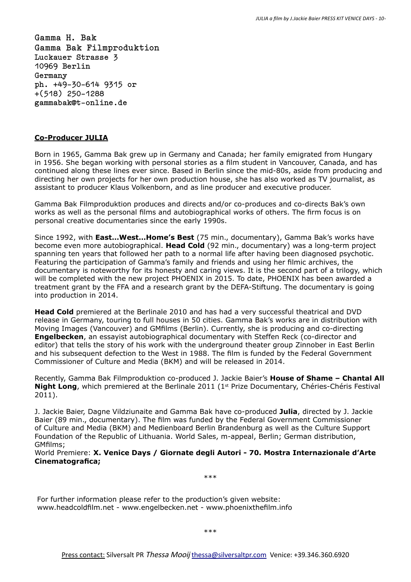**Gamma H. Bak Gamma Bak Filmproduktion Luckauer Strasse 3 10969 Berlin Germany ph. +49-30-614 9315 or +(518) 250-1288 gammabak@t-online.de**

#### **Co-Producer JULIA**

Born in 1965, Gamma Bak grew up in Germany and Canada; her family emigrated from Hungary in 1956. She began working with personal stories as a film student in Vancouver, Canada, and has continued along these lines ever since. Based in Berlin since the mid-80s, aside from producing and directing her own projects for her own production house, she has also worked as TV journalist, as assistant to producer Klaus Volkenborn, and as line producer and executive producer.

Gamma Bak Filmproduktion produces and directs and/or co-produces and co-directs Bak's own works as well as the personal films and autobiographical works of others. The firm focus is on personal creative documentaries since the early 1990s.

Since 1992, with **East…West…Home's Best** (75 min., documentary), Gamma Bak's works have become even more autobiographical. **Head Cold** (92 min., documentary) was a long-term project spanning ten years that followed her path to a normal life after having been diagnosed psychotic. Featuring the participation of Gamma's family and friends and using her filmic archives, the documentary is noteworthy for its honesty and caring views. It is the second part of a trilogy, which will be completed with the new project PHOENIX in 2015. To date, PHOENIX has been awarded a treatment grant by the FFA and a research grant by the DEFA-Stiftung. The documentary is going into production in 2014.

**Head Cold** premiered at the Berlinale 2010 and has had a very successful theatrical and DVD release in Germany, touring to full houses in 50 cities. Gamma Bak's works are in distribution with Moving Images (Vancouver) and GMfilms (Berlin). Currently, she is producing and co-directing **Engelbecken**, an essayist autobiographical documentary with Steffen Reck (co-director and editor) that tells the story of his work with the underground theater group Zinnober in East Berlin and his subsequent defection to the West in 1988. The film is funded by the Federal Government Commissioner of Culture and Media (BKM) and will be released in 2014.

Recently, Gamma Bak Filmproduktion co-produced J. Jackie Baier's **House of Shame – Chantal All Night Long**, which premiered at the Berlinale 2011 (1<sup>st</sup> Prize Documentary, Chéries-Chéris Festival 2011).

J. Jackie Baier, Dagne Vildziunaite and Gamma Bak have co-produced **Julia**, directed by J. Jackie Baier (89 min., documentary). The film was funded by the Federal Government Commissioner of Culture and Media (BKM) and Medienboard Berlin Brandenburg as well as the Culture Support Foundation of the Republic of Lithuania. World Sales, m-appeal, Berlin; German distribution, GMfilms;

World Premiere: **X. Venice Days / Giornate degli Autori - 70. Mostra Internazionale d'Arte Cinematografica;**

\*\*\*

For further information please refer to the production's given website: www.headcoldfilm.net - www.engelbecken.net - www.phoenixthefilm.info

\*\*\*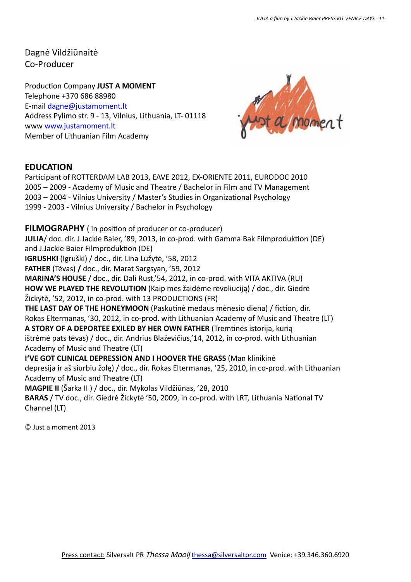Dagnė Vildžiūnaitė Co-Producer

Production Company **JUST A MOMENT** Telephone +370 686 88980 E-mail dagne@justamoment.lt Address Pylimo str. 9 - 13, Vilnius, Lithuania, LT- 01118 www www.justamoment.lt Member of Lithuanian Film Academy



#### **EDUCATION**

Participant of ROTTERDAM LAB 2013, EAVE 2012, EX-ORIENTE 2011, EURODOC 2010 2005 – 2009 - Academy of Music and Theatre / Bachelor in Film and TV Management 2003 – 2004 - Vilnius University / Master's Studies in Organizational Psychology 1999 - 2003 - Vilnius University / Bachelor in Psychology

**FILMOGRAPHY** ( in position of producer or co-producer)

**JULIA**/ doc. dir. J.Jackie Baier, '89, 2013, in co-prod. with Gamma Bak Filmproduktion (DE) and J.Jackie Baier Filmproduktion (DE)

**IGRUSHKI** (Igruški) / doc., dir. Lina Lužytė, '58, 2012

**FATHER** (Tėvas) **/** doc., dir. Marat Sargsyan, '59, 2012

**MARINA'S HOUSE** / doc., dir. Dali Rust,'54, 2012, in co-prod. with VITA AKTIVA (RU)

**HOW WE PLAYED THE REVOLUTION** (Kaip mes žaidėme revoliuciją) / doc., dir. Giedrė

Žickytė, '52, 2012, in co-prod. with 13 PRODUCTIONS (FR)

**THE LAST DAY OF THE HONEYMOON** (Paskutinė medaus mėnesio diena) / fiction, dir. Rokas Eltermanas, '30, 2012, in co-prod. with Lithuanian Academy of Music and Theatre (LT)

**A STORY OF A DEPORTEE EXILED BY HER OWN FATHER** (Tremtinės istorija, kurią ištrėmė pats tėvas) / doc., dir. Andrius Blaževičius,'14, 2012, in co-prod. with Lithuanian Academy of Music and Theatre (LT)

**I'VE GOT CLINICAL DEPRESSION AND I HOOVER THE GRASS** (Man klinikinė depresija ir aš siurbiu žolę) / doc., dir. Rokas Eltermanas, '25, 2010, in co-prod. with Lithuanian

Academy of Music and Theatre (LT)

**MAGPIE II** (Šarka II ) / doc., dir. Mykolas Vildžiūnas, '28, 2010

**BARAS** / TV doc., dir. Giedrė Žickytė '50, 2009, in co-prod. with LRT, Lithuania National TV Channel (LT)

© Just a moment 2013